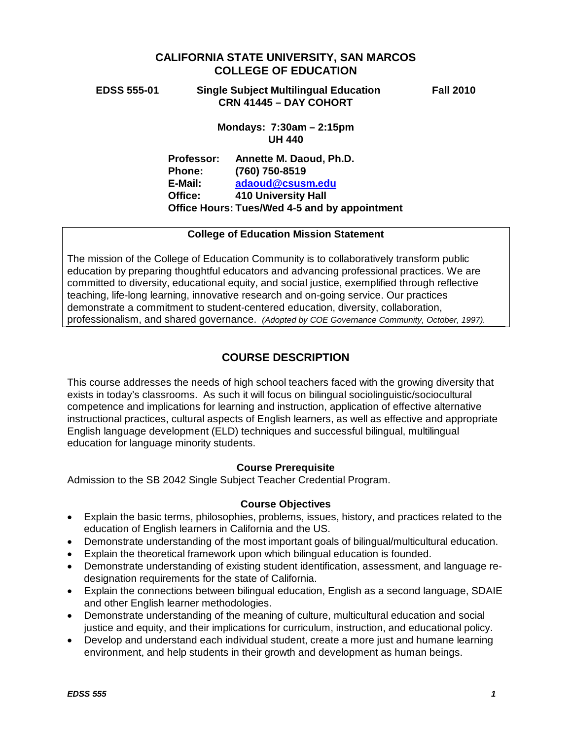# **CALIFORNIA STATE UNIVERSITY, SAN MARCOS COLLEGE OF EDUCATION**

**EDSS 555-01 Single Subject Multilingual Education Fall 2010 CRN 41445 – DAY COHORT**

**Mondays: 7:30am – 2:15pm UH 440**

**Professor: Annette M. Daoud, Ph.D. Phone: (760) 750-8519 E-Mail: [adaoud@csusm.edu](mailto:adaoud@csusm.edu) Office: 410 University Hall Office Hours: Tues/Wed 4-5 and by appointment**

#### **College of Education Mission Statement**

The mission of the College of Education Community is to collaboratively transform public education by preparing thoughtful educators and advancing professional practices. We are committed to diversity, educational equity, and social justice, exemplified through reflective teaching, life-long learning, innovative research and on-going service. Our practices demonstrate a commitment to student-centered education, diversity, collaboration, professionalism, and shared governance. *(Adopted by COE Governance Community, October, 1997).*

# **COURSE DESCRIPTION**

This course addresses the needs of high school teachers faced with the growing diversity that exists in today's classrooms. As such it will focus on bilingual sociolinguistic/sociocultural competence and implications for learning and instruction, application of effective alternative instructional practices, cultural aspects of English learners, as well as effective and appropriate English language development (ELD) techniques and successful bilingual, multilingual education for language minority students.

#### **Course Prerequisite**

Admission to the SB 2042 Single Subject Teacher Credential Program.

#### **Course Objectives**

- Explain the basic terms, philosophies, problems, issues, history, and practices related to the education of English learners in California and the US.
- Demonstrate understanding of the most important goals of bilingual/multicultural education.
- Explain the theoretical framework upon which bilingual education is founded.
- Demonstrate understanding of existing student identification, assessment, and language redesignation requirements for the state of California.
- Explain the connections between bilingual education, English as a second language, SDAIE and other English learner methodologies.
- Demonstrate understanding of the meaning of culture, multicultural education and social justice and equity, and their implications for curriculum, instruction, and educational policy.
- Develop and understand each individual student, create a more just and humane learning environment, and help students in their growth and development as human beings.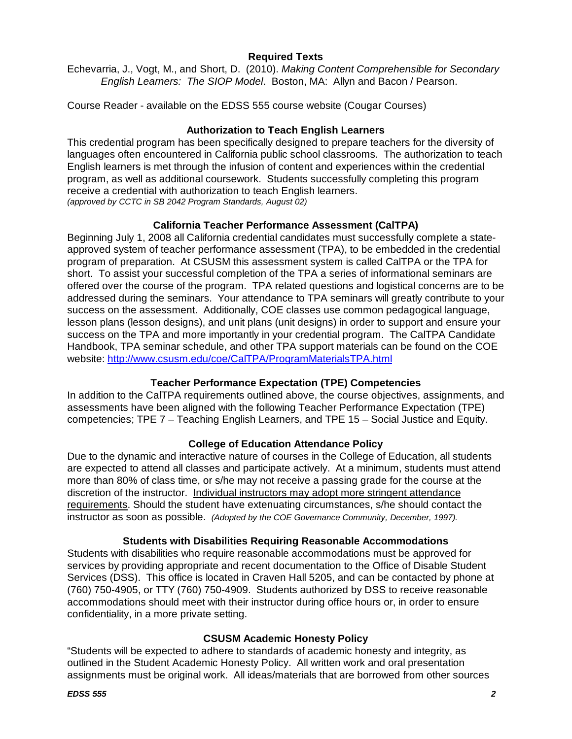## **Required Texts**

Echevarria, J., Vogt, M., and Short, D. (2010). *Making Content Comprehensible for Secondary English Learners: The SIOP Model*. Boston, MA: Allyn and Bacon / Pearson.

Course Reader - available on the EDSS 555 course website (Cougar Courses)

## **Authorization to Teach English Learners**

This credential program has been specifically designed to prepare teachers for the diversity of languages often encountered in California public school classrooms. The authorization to teach English learners is met through the infusion of content and experiences within the credential program, as well as additional coursework. Students successfully completing this program receive a credential with authorization to teach English learners. *(approved by CCTC in SB 2042 Program Standards, August 02)*

## **California Teacher Performance Assessment (CalTPA)**

Beginning July 1, 2008 all California credential candidates must successfully complete a stateapproved system of teacher performance assessment (TPA), to be embedded in the credential program of preparation. At CSUSM this assessment system is called CalTPA or the TPA for short. To assist your successful completion of the TPA a series of informational seminars are offered over the course of the program. TPA related questions and logistical concerns are to be addressed during the seminars. Your attendance to TPA seminars will greatly contribute to your success on the assessment. Additionally, COE classes use common pedagogical language, lesson plans (lesson designs), and unit plans (unit designs) in order to support and ensure your success on the TPA and more importantly in your credential program. The CalTPA Candidate Handbook, TPA seminar schedule, and other TPA support materials can be found on the COE website: <http://www.csusm.edu/coe/CalTPA/ProgramMaterialsTPA.html>

# **Teacher Performance Expectation (TPE) Competencies**

In addition to the CalTPA requirements outlined above, the course objectives, assignments, and assessments have been aligned with the following Teacher Performance Expectation (TPE) competencies; TPE 7 – Teaching English Learners, and TPE 15 – Social Justice and Equity.

### **College of Education Attendance Policy**

Due to the dynamic and interactive nature of courses in the College of Education, all students are expected to attend all classes and participate actively. At a minimum, students must attend more than 80% of class time, or s/he may not receive a passing grade for the course at the discretion of the instructor. Individual instructors may adopt more stringent attendance requirements. Should the student have extenuating circumstances, s/he should contact the instructor as soon as possible. *(Adopted by the COE Governance Community, December, 1997).*

### **Students with Disabilities Requiring Reasonable Accommodations**

Students with disabilities who require reasonable accommodations must be approved for services by providing appropriate and recent documentation to the Office of Disable Student Services (DSS). This office is located in Craven Hall 5205, and can be contacted by phone at (760) 750-4905, or TTY (760) 750-4909. Students authorized by DSS to receive reasonable accommodations should meet with their instructor during office hours or, in order to ensure confidentiality, in a more private setting.

### **CSUSM Academic Honesty Policy**

"Students will be expected to adhere to standards of academic honesty and integrity, as outlined in the Student Academic Honesty Policy. All written work and oral presentation assignments must be original work. All ideas/materials that are borrowed from other sources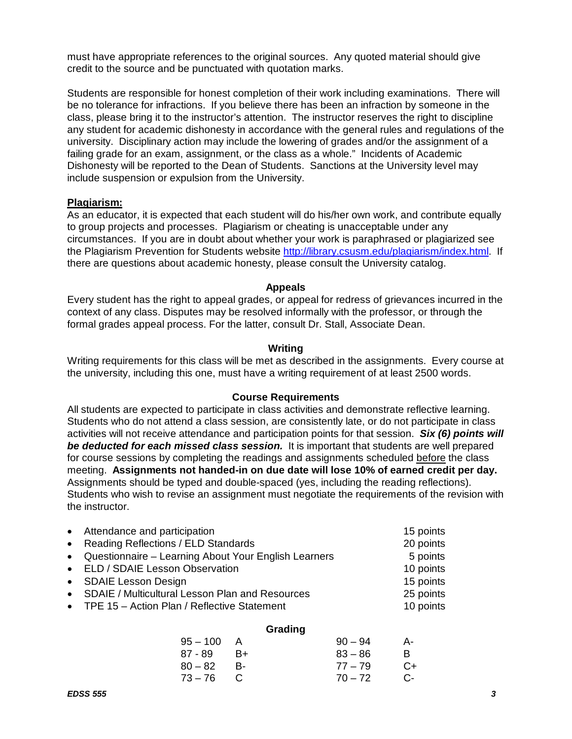must have appropriate references to the original sources. Any quoted material should give credit to the source and be punctuated with quotation marks.

Students are responsible for honest completion of their work including examinations. There will be no tolerance for infractions. If you believe there has been an infraction by someone in the class, please bring it to the instructor's attention. The instructor reserves the right to discipline any student for academic dishonesty in accordance with the general rules and regulations of the university. Disciplinary action may include the lowering of grades and/or the assignment of a failing grade for an exam, assignment, or the class as a whole." Incidents of Academic Dishonesty will be reported to the Dean of Students. Sanctions at the University level may include suspension or expulsion from the University.

#### **Plagiarism:**

As an educator, it is expected that each student will do his/her own work, and contribute equally to group projects and processes. Plagiarism or cheating is unacceptable under any circumstances. If you are in doubt about whether your work is paraphrased or plagiarized see the Plagiarism Prevention for Students website [http://library.csusm.edu/plagiarism/index.html.](http://library.csusm.edu/plagiarism/index.html) If there are questions about academic honesty, please consult the University catalog.

#### **Appeals**

Every student has the right to appeal grades, or appeal for redress of grievances incurred in the context of any class. Disputes may be resolved informally with the professor, or through the formal grades appeal process. For the latter, consult Dr. Stall, Associate Dean.

#### **Writing**

Writing requirements for this class will be met as described in the assignments. Every course at the university, including this one, must have a writing requirement of at least 2500 words.

#### **Course Requirements**

All students are expected to participate in class activities and demonstrate reflective learning. Students who do not attend a class session, are consistently late, or do not participate in class activities will not receive attendance and participation points for that session. *Six (6) points will be deducted for each missed class session.* It is important that students are well prepared for course sessions by completing the readings and assignments scheduled before the class meeting. **Assignments not handed-in on due date will lose 10% of earned credit per day.** Assignments should be typed and double-spaced (yes, including the reading reflections). Students who wish to revise an assignment must negotiate the requirements of the revision with the instructor.

| • Attendance and participation                         | 15 points |
|--------------------------------------------------------|-----------|
| • Reading Reflections / ELD Standards                  | 20 points |
| • Questionnaire – Learning About Your English Learners | 5 points  |
| • ELD / SDAIE Lesson Observation                       | 10 points |
| • SDAIE Lesson Design                                  | 15 points |
| • SDAIE / Multicultural Lesson Plan and Resources      | 25 points |
| • TPE 15 - Action Plan / Reflective Statement          | 10 points |
|                                                        |           |

#### **Grading**

| $95 - 100$ |              | $90 - 94$ | A-   |
|------------|--------------|-----------|------|
| 87 - 89    | B+           | $83 - 86$ | B.   |
| $80 - 82$  | - B-         | $77 - 79$ | $C+$ |
| 73 – 76    | $\mathbf{C}$ | $70 - 72$ | C-   |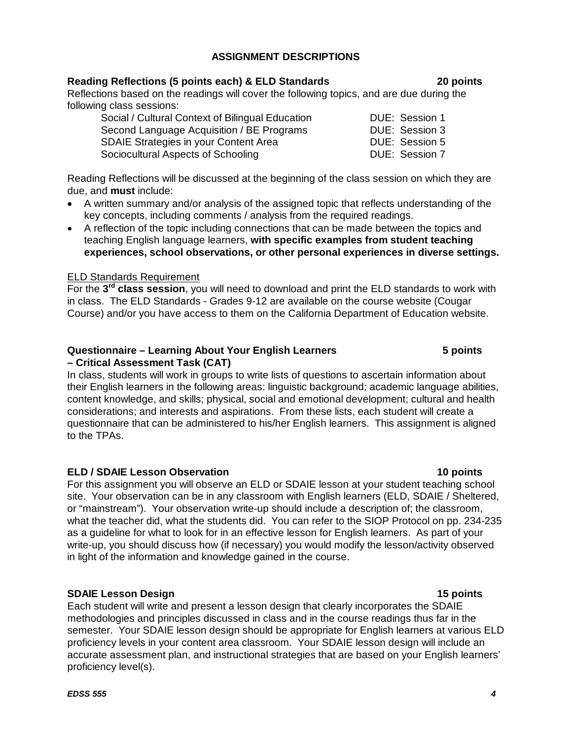## **ASSIGNMENT DESCRIPTIONS**

## **Reading Reflections (5 points each) & ELD Standards 20 points**

Reflections based on the readings will cover the following topics, and are due during the following class sessions:

| Social / Cultural Context of Bilingual Education |
|--------------------------------------------------|
| Second Language Acquisition / BE Programs        |
| <b>SDAIE Strategies in your Content Area</b>     |
| Sociocultural Aspects of Schooling               |

Reading Reflections will be discussed at the beginning of the class session on which they are due, and **must** include:

- A written summary and/or analysis of the assigned topic that reflects understanding of the key concepts, including comments / analysis from the required readings.
- A reflection of the topic including connections that can be made between the topics and teaching English language learners, **with specific examples from student teaching experiences, school observations, or other personal experiences in diverse settings.**

## ELD Standards Requirement

For the **3rd class session**, you will need to download and print the ELD standards to work with in class. The ELD Standards - Grades 9-12 are available on the course website (Cougar Course) and/or you have access to them on the California Department of Education website.

# **Questionnaire – Learning About Your English Learners 5 points**

#### **– Critical Assessment Task (CAT)** In class, students will work in groups to write lists of questions to ascertain information about their English learners in the following areas: linguistic background; academic language abilities, content knowledge, and skills; physical, social and emotional development; cultural and health considerations; and interests and aspirations. From these lists, each student will create a questionnaire that can be administered to his/her English learners. This assignment is aligned

### **ELD / SDAIE Lesson Observation 10 points**

For this assignment you will observe an ELD or SDAIE lesson at your student teaching school site. Your observation can be in any classroom with English learners (ELD, SDAIE / Sheltered, or "mainstream"). Your observation write-up should include a description of; the classroom, what the teacher did, what the students did. You can refer to the SIOP Protocol on pp. 234-235 as a guideline for what to look for in an effective lesson for English learners. As part of your write-up, you should discuss how (if necessary) you would modify the lesson/activity observed in light of the information and knowledge gained in the course.

### **SDAIE Lesson Design 15 points**

to the TPAs.

Each student will write and present a lesson design that clearly incorporates the SDAIE methodologies and principles discussed in class and in the course readings thus far in the semester. Your SDAIE lesson design should be appropriate for English learners at various ELD proficiency levels in your content area classroom. Your SDAIE lesson design will include an accurate assessment plan, and instructional strategies that are based on your English learners' proficiency level(s).

DUE: Session 1 DUE: Session 3 DUE: Session 5 DUE: Session 7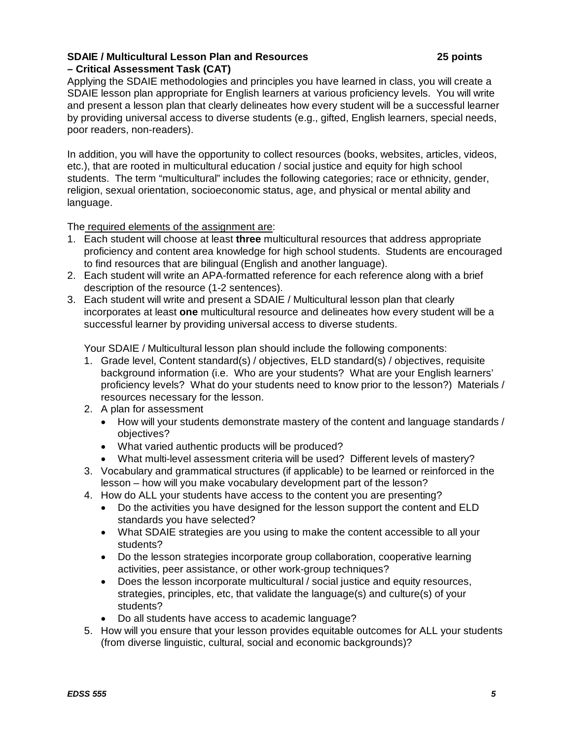### **SDAIE / Multicultural Lesson Plan and Resources 25 points – Critical Assessment Task (CAT)**

Applying the SDAIE methodologies and principles you have learned in class, you will create a SDAIE lesson plan appropriate for English learners at various proficiency levels. You will write and present a lesson plan that clearly delineates how every student will be a successful learner by providing universal access to diverse students (e.g., gifted, English learners, special needs, poor readers, non-readers).

In addition, you will have the opportunity to collect resources (books, websites, articles, videos, etc.), that are rooted in multicultural education / social justice and equity for high school students. The term "multicultural" includes the following categories; race or ethnicity, gender, religion, sexual orientation, socioeconomic status, age, and physical or mental ability and language.

The required elements of the assignment are:

- 1. Each student will choose at least **three** multicultural resources that address appropriate proficiency and content area knowledge for high school students. Students are encouraged to find resources that are bilingual (English and another language).
- 2. Each student will write an APA-formatted reference for each reference along with a brief description of the resource (1-2 sentences).
- 3. Each student will write and present a SDAIE / Multicultural lesson plan that clearly incorporates at least **one** multicultural resource and delineates how every student will be a successful learner by providing universal access to diverse students.

Your SDAIE / Multicultural lesson plan should include the following components:

- 1. Grade level, Content standard(s) / objectives, ELD standard(s) / objectives, requisite background information (i.e. Who are your students? What are your English learners' proficiency levels? What do your students need to know prior to the lesson?) Materials / resources necessary for the lesson.
- 2. A plan for assessment
	- How will your students demonstrate mastery of the content and language standards / objectives?
	- What varied authentic products will be produced?
	- What multi-level assessment criteria will be used? Different levels of mastery?
- 3. Vocabulary and grammatical structures (if applicable) to be learned or reinforced in the lesson – how will you make vocabulary development part of the lesson?
- 4. How do ALL your students have access to the content you are presenting?
	- Do the activities you have designed for the lesson support the content and ELD standards you have selected?
	- What SDAIE strategies are you using to make the content accessible to all your students?
	- Do the lesson strategies incorporate group collaboration, cooperative learning activities, peer assistance, or other work-group techniques?
	- Does the lesson incorporate multicultural / social justice and equity resources, strategies, principles, etc, that validate the language(s) and culture(s) of your students?
	- Do all students have access to academic language?
- 5. How will you ensure that your lesson provides equitable outcomes for ALL your students (from diverse linguistic, cultural, social and economic backgrounds)?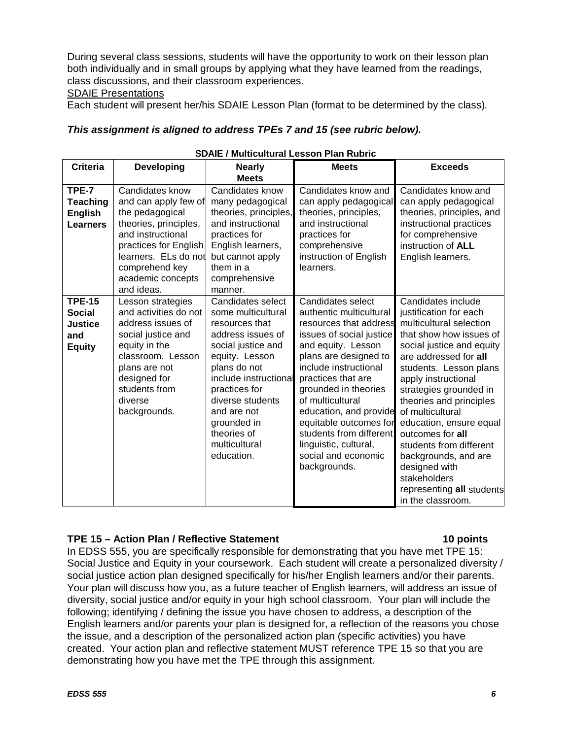During several class sessions, students will have the opportunity to work on their lesson plan both individually and in small groups by applying what they have learned from the readings, class discussions, and their classroom experiences.

### SDAIE Presentations

Each student will present her/his SDAIE Lesson Plan (format to be determined by the class)*.*

#### *This assignment is aligned to address TPEs 7 and 15 (see rubric below).*

| <b>Criteria</b>                                                          | <b>Developing</b>                                                                                                                                                                                              | SDAIL / MUILICUILUI dI LESSOII FIAII RUDITC<br><b>Nearly</b>                                                                                                                                                                                                                     | <b>Meets</b>                                                                                                                                                                                                                                                                                                                                                                                | <b>Exceeds</b>                                                                                                                                                                                                                                                                                                                                                                                                                                                          |
|--------------------------------------------------------------------------|----------------------------------------------------------------------------------------------------------------------------------------------------------------------------------------------------------------|----------------------------------------------------------------------------------------------------------------------------------------------------------------------------------------------------------------------------------------------------------------------------------|---------------------------------------------------------------------------------------------------------------------------------------------------------------------------------------------------------------------------------------------------------------------------------------------------------------------------------------------------------------------------------------------|-------------------------------------------------------------------------------------------------------------------------------------------------------------------------------------------------------------------------------------------------------------------------------------------------------------------------------------------------------------------------------------------------------------------------------------------------------------------------|
|                                                                          |                                                                                                                                                                                                                | <b>Meets</b>                                                                                                                                                                                                                                                                     |                                                                                                                                                                                                                                                                                                                                                                                             |                                                                                                                                                                                                                                                                                                                                                                                                                                                                         |
| TPE-7<br><b>Teaching</b><br><b>English</b><br><b>Learners</b>            | Candidates know<br>and can apply few of<br>the pedagogical<br>theories, principles,<br>and instructional<br>practices for English<br>learners. ELs do not<br>comprehend key<br>academic concepts<br>and ideas. | Candidates know<br>many pedagogical<br>theories, principles,<br>and instructional<br>practices for<br>English learners,<br>but cannot apply<br>them in a<br>comprehensive<br>manner.                                                                                             | Candidates know and<br>can apply pedagogical<br>theories, principles,<br>and instructional<br>practices for<br>comprehensive<br>instruction of English<br>learners.                                                                                                                                                                                                                         | Candidates know and<br>can apply pedagogical<br>theories, principles, and<br>instructional practices<br>for comprehensive<br>instruction of ALL<br>English learners.                                                                                                                                                                                                                                                                                                    |
| <b>TPE-15</b><br><b>Social</b><br><b>Justice</b><br>and<br><b>Equity</b> | Lesson strategies<br>and activities do not<br>address issues of<br>social justice and<br>equity in the<br>classroom. Lesson<br>plans are not<br>designed for<br>students from<br>diverse<br>backgrounds.       | Candidates select<br>some multicultural<br>resources that<br>address issues of<br>social justice and<br>equity. Lesson<br>plans do not<br>include instructional<br>practices for<br>diverse students<br>and are not<br>grounded in<br>theories of<br>multicultural<br>education. | Candidates select<br>authentic multicultural<br>resources that address<br>issues of social justice<br>and equity. Lesson<br>plans are designed to<br>include instructional<br>practices that are<br>grounded in theories<br>of multicultural<br>education, and provide<br>equitable outcomes for<br>students from different<br>linguistic, cultural,<br>social and economic<br>backgrounds. | Candidates include<br>justification for each<br>multicultural selection<br>that show how issues of<br>social justice and equity<br>are addressed for all<br>students. Lesson plans<br>apply instructional<br>strategies grounded in<br>theories and principles<br>of multicultural<br>education, ensure equal<br>outcomes for all<br>students from different<br>backgrounds, and are<br>designed with<br>stakeholders<br>representing all students<br>in the classroom. |

### **SDAIE / Multicultural Lesson Plan Rubric**

## **TPE 15 – Action Plan / Reflective Statement 10 points**

In EDSS 555, you are specifically responsible for demonstrating that you have met TPE 15: Social Justice and Equity in your coursework. Each student will create a personalized diversity / social justice action plan designed specifically for his/her English learners and/or their parents. Your plan will discuss how you, as a future teacher of English learners, will address an issue of diversity, social justice and/or equity in your high school classroom. Your plan will include the following; identifying / defining the issue you have chosen to address, a description of the English learners and/or parents your plan is designed for, a reflection of the reasons you chose the issue, and a description of the personalized action plan (specific activities) you have created. Your action plan and reflective statement MUST reference TPE 15 so that you are demonstrating how you have met the TPE through this assignment.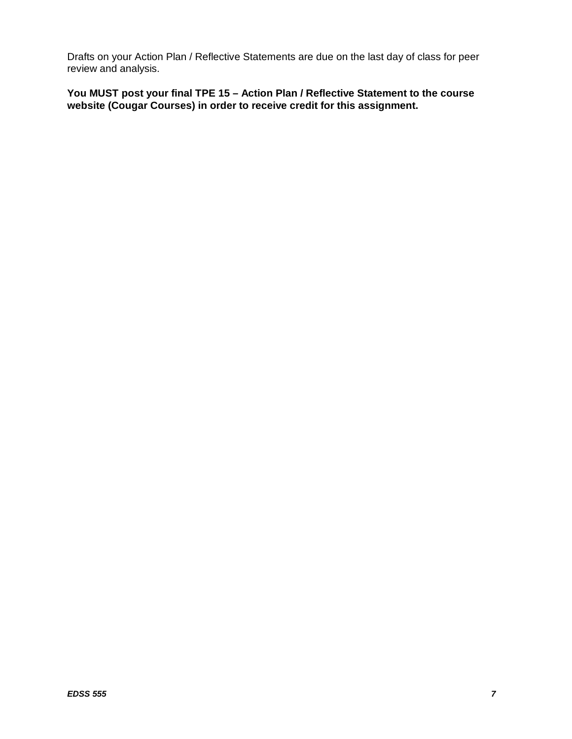Drafts on your Action Plan / Reflective Statements are due on the last day of class for peer review and analysis.

**You MUST post your final TPE 15 – Action Plan / Reflective Statement to the course website (Cougar Courses) in order to receive credit for this assignment.**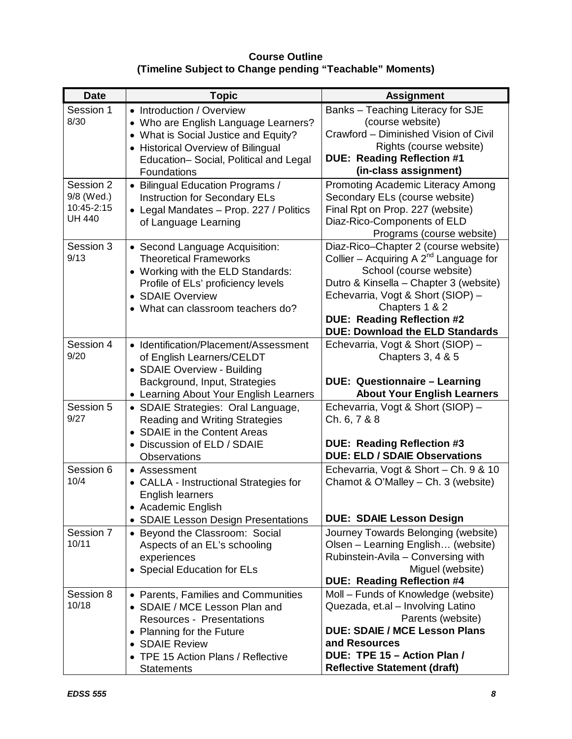# **Course Outline (Timeline Subject to Change pending "Teachable" Moments)**

| <b>Date</b>                                            | <b>Topic</b>                                                                                                                                                                                                       | <b>Assignment</b>                                                                                                                                                                                                                                                                              |
|--------------------------------------------------------|--------------------------------------------------------------------------------------------------------------------------------------------------------------------------------------------------------------------|------------------------------------------------------------------------------------------------------------------------------------------------------------------------------------------------------------------------------------------------------------------------------------------------|
| Session 1<br>8/30                                      | • Introduction / Overview<br>• Who are English Language Learners?<br>• What is Social Justice and Equity?<br>• Historical Overview of Bilingual<br>Education-Social, Political and Legal<br><b>Foundations</b>     | Banks - Teaching Literacy for SJE<br>(course website)<br>Crawford - Diminished Vision of Civil<br>Rights (course website)<br><b>DUE: Reading Reflection #1</b><br>(in-class assignment)                                                                                                        |
| Session 2<br>9/8 (Wed.)<br>10:45-2:15<br><b>UH 440</b> | • Bilingual Education Programs /<br><b>Instruction for Secondary ELs</b><br>• Legal Mandates - Prop. 227 / Politics<br>of Language Learning                                                                        | Promoting Academic Literacy Among<br>Secondary ELs (course website)<br>Final Rpt on Prop. 227 (website)<br>Diaz-Rico-Components of ELD<br>Programs (course website)                                                                                                                            |
| Session 3<br>9/13                                      | • Second Language Acquisition:<br><b>Theoretical Frameworks</b><br>• Working with the ELD Standards:<br>Profile of ELs' proficiency levels<br>• SDAIE Overview<br>• What can classroom teachers do?                | Diaz-Rico-Chapter 2 (course website)<br>Collier – Acquiring A $2^{nd}$ Language for<br>School (course website)<br>Dutro & Kinsella - Chapter 3 (website)<br>Echevarria, Vogt & Short (SIOP) -<br>Chapters 1 & 2<br><b>DUE: Reading Reflection #2</b><br><b>DUE: Download the ELD Standards</b> |
| Session 4<br>9/20                                      | • Identification/Placement/Assessment<br>of English Learners/CELDT<br>• SDAIE Overview - Building<br>Background, Input, Strategies<br>• Learning About Your English Learners                                       | Echevarria, Vogt & Short (SIOP) -<br>Chapters 3, 4 & 5<br><b>DUE: Questionnaire - Learning</b><br><b>About Your English Learners</b>                                                                                                                                                           |
| Session 5<br>9/27                                      | • SDAIE Strategies: Oral Language,<br>Reading and Writing Strategies<br>• SDAIE in the Content Areas<br>• Discussion of ELD / SDAIE<br><b>Observations</b>                                                         | Echevarria, Vogt & Short (SIOP) -<br>Ch. 6, 7 & 8<br><b>DUE: Reading Reflection #3</b><br><b>DUE: ELD / SDAIE Observations</b>                                                                                                                                                                 |
| Session 6<br>10/4                                      | • Assessment<br><b>CALLA - Instructional Strategies for</b><br>English learners<br>• Academic English<br>• SDAIE Lesson Design Presentations                                                                       | Echevarria, Vogt & Short - Ch. 9 & 10<br>Chamot & O'Malley - Ch. 3 (website)<br><b>DUE: SDAIE Lesson Design</b>                                                                                                                                                                                |
| Session 7<br>10/11                                     | • Beyond the Classroom: Social<br>Aspects of an EL's schooling<br>experiences<br>• Special Education for ELs                                                                                                       | Journey Towards Belonging (website)<br>Olsen – Learning English (website)<br>Rubinstein-Avila - Conversing with<br>Miguel (website)<br><b>DUE: Reading Reflection #4</b>                                                                                                                       |
| Session 8<br>10/18                                     | • Parents, Families and Communities<br>• SDAIE / MCE Lesson Plan and<br><b>Resources - Presentations</b><br>• Planning for the Future<br>• SDAIE Review<br>• TPE 15 Action Plans / Reflective<br><b>Statements</b> | Moll - Funds of Knowledge (website)<br>Quezada, et.al - Involving Latino<br>Parents (website)<br><b>DUE: SDAIE / MCE Lesson Plans</b><br>and Resources<br>DUE: TPE 15 - Action Plan /<br><b>Reflective Statement (draft)</b>                                                                   |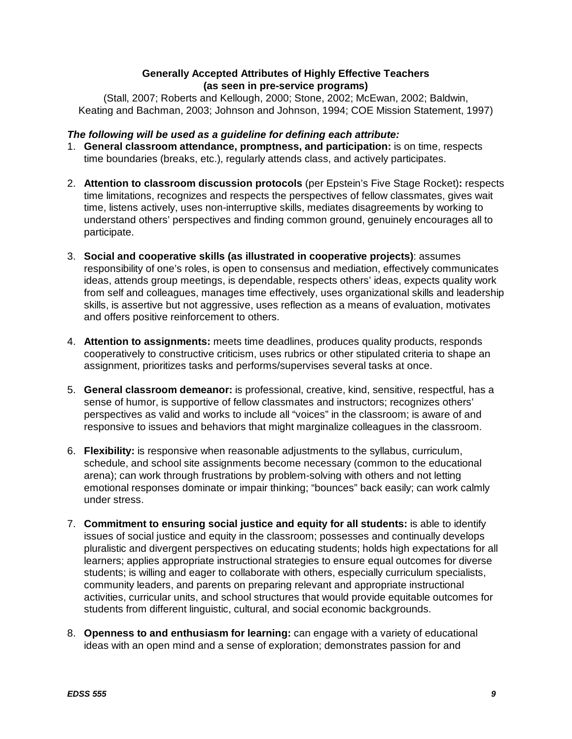## **Generally Accepted Attributes of Highly Effective Teachers (as seen in pre-service programs)**

(Stall, 2007; Roberts and Kellough, 2000; Stone, 2002; McEwan, 2002; Baldwin, Keating and Bachman, 2003; Johnson and Johnson, 1994; COE Mission Statement, 1997)

## *The following will be used as a guideline for defining each attribute:*

- 1. **General classroom attendance, promptness, and participation:** is on time, respects time boundaries (breaks, etc.), regularly attends class, and actively participates.
- 2. **Attention to classroom discussion protocols** (per Epstein's Five Stage Rocket)**:** respects time limitations, recognizes and respects the perspectives of fellow classmates, gives wait time, listens actively, uses non-interruptive skills, mediates disagreements by working to understand others' perspectives and finding common ground, genuinely encourages all to participate.
- 3. **Social and cooperative skills (as illustrated in cooperative projects)**: assumes responsibility of one's roles, is open to consensus and mediation, effectively communicates ideas, attends group meetings, is dependable, respects others' ideas, expects quality work from self and colleagues, manages time effectively, uses organizational skills and leadership skills, is assertive but not aggressive, uses reflection as a means of evaluation, motivates and offers positive reinforcement to others.
- 4. **Attention to assignments:** meets time deadlines, produces quality products, responds cooperatively to constructive criticism, uses rubrics or other stipulated criteria to shape an assignment, prioritizes tasks and performs/supervises several tasks at once.
- 5. **General classroom demeanor:** is professional, creative, kind, sensitive, respectful, has a sense of humor, is supportive of fellow classmates and instructors; recognizes others' perspectives as valid and works to include all "voices" in the classroom; is aware of and responsive to issues and behaviors that might marginalize colleagues in the classroom.
- 6. **Flexibility:** is responsive when reasonable adjustments to the syllabus, curriculum, schedule, and school site assignments become necessary (common to the educational arena); can work through frustrations by problem-solving with others and not letting emotional responses dominate or impair thinking; "bounces" back easily; can work calmly under stress.
- 7. **Commitment to ensuring social justice and equity for all students:** is able to identify issues of social justice and equity in the classroom; possesses and continually develops pluralistic and divergent perspectives on educating students; holds high expectations for all learners; applies appropriate instructional strategies to ensure equal outcomes for diverse students; is willing and eager to collaborate with others, especially curriculum specialists, community leaders, and parents on preparing relevant and appropriate instructional activities, curricular units, and school structures that would provide equitable outcomes for students from different linguistic, cultural, and social economic backgrounds.
- 8. **Openness to and enthusiasm for learning:** can engage with a variety of educational ideas with an open mind and a sense of exploration; demonstrates passion for and